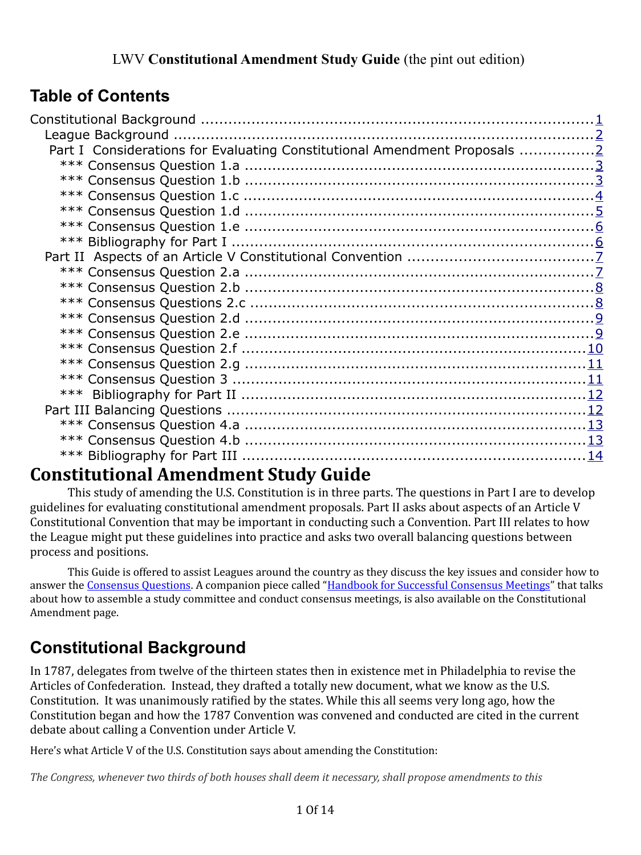# **Table of Contents**

| Part I Considerations for Evaluating Constitutional Amendment Proposals 2 |  |
|---------------------------------------------------------------------------|--|
|                                                                           |  |
|                                                                           |  |
|                                                                           |  |
|                                                                           |  |
|                                                                           |  |
|                                                                           |  |
|                                                                           |  |
|                                                                           |  |
|                                                                           |  |
|                                                                           |  |
|                                                                           |  |
|                                                                           |  |
|                                                                           |  |
|                                                                           |  |
|                                                                           |  |
|                                                                           |  |
|                                                                           |  |
|                                                                           |  |
|                                                                           |  |
|                                                                           |  |

# **Constitutional Amendment Study Guide**

This study of amending the U.S. Constitution is in three parts. The questions in Part I are to develop guidelines for evaluating constitutional amendment proposals. Part II asks about aspects of an Article V Constitutional Convention that may be important in conducting such a Convention. Part III relates to how the League might put these guidelines into practice and asks two overall balancing questions between process and positions.

This Guide is offered to assist Leagues around the country as they discuss the key issues and consider how to answer the [Consensus Questions.](http://forum.lwv.org/member-resources/article/constitutional-amendment-consensus-questions) A companion piece called ["Handbook for Successful Consensus Meetings"](http://forum.lwv.org/member-resources/article/handbook-successful-consensus-meetings) that talks about how to assemble a study committee and conduct consensus meetings, is also available on the Constitutional Amendment page.

# <span id="page-0-0"></span>**Constitutional Background**

In 1787, delegates from twelve of the thirteen states then in existence met in Philadelphia to revise the Articles of Confederation. Instead, they drafted a totally new document, what we know as the U.S. Constitution. It was unanimously ratified by the states. While this all seems very long ago, how the Constitution began and how the 1787 Convention was convened and conducted are cited in the current debate about calling a Convention under Article V.

Here's what Article V of the U.S. Constitution says about amending the Constitution:

*The Congress, whenever two thirds of both houses shall deem it necessary, shall propose amendments to this*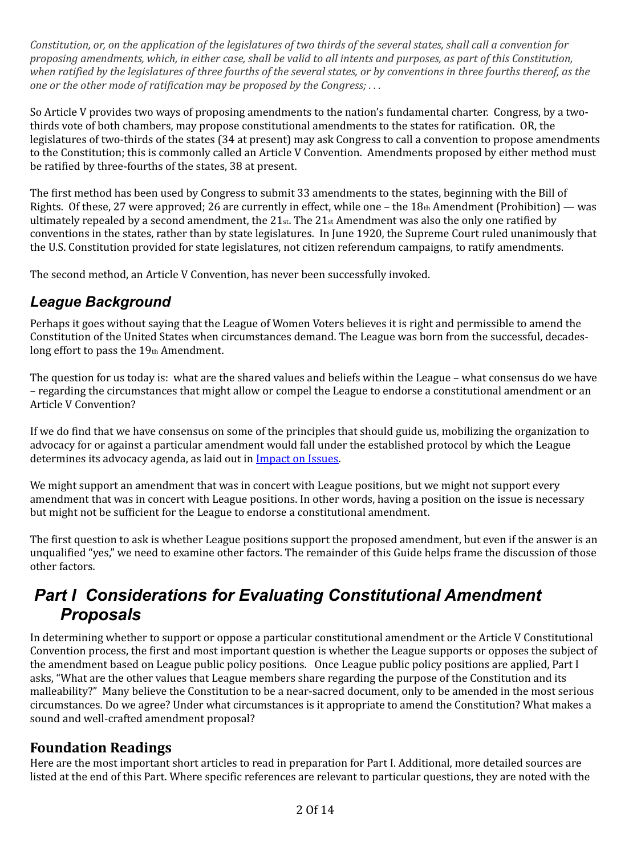*Constitution, or, on the application of the legislatures of two thirds of the several states, shall call a convention for proposing amendments, which, in either case, shall be valid to all intents and purposes, as part of this Constitution, when ratified by the legislatures of three fourths of the several states, or by conventions in three fourths thereof, as the one or the other mode of ratification may be proposed by the Congress; . . .* 

So Article V provides two ways of proposing amendments to the nation's fundamental charter. Congress, by a twothirds vote of both chambers, may propose constitutional amendments to the states for ratification. OR, the legislatures of two-thirds of the states (34 at present) may ask Congress to call a convention to propose amendments to the Constitution; this is commonly called an Article V Convention. Amendments proposed by either method must be ratified by three-fourths of the states, 38 at present.

The first method has been used by Congress to submit 33 amendments to the states, beginning with the Bill of Rights. Of these, 27 were approved; 26 are currently in effect, while one – the 18th Amendment (Prohibition) — was ultimately repealed by a second amendment, the  $21_{st}$ . The  $21_{st}$  Amendment was also the only one ratified by conventions in the states, rather than by state legislatures. In June 1920, the Supreme Court ruled unanimously that the U.S. Constitution provided for state legislatures, not citizen referendum campaigns, to ratify amendments.

The second method, an Article V Convention, has never been successfully invoked.

# <span id="page-1-1"></span>*League Background*

Perhaps it goes without saying that the League of Women Voters believes it is right and permissible to amend the Constitution of the United States when circumstances demand. The League was born from the successful, decadeslong effort to pass the 19th Amendment.

The question for us today is: what are the shared values and beliefs within the League – what consensus do we have – regarding the circumstances that might allow or compel the League to endorse a constitutional amendment or an Article V Convention?

If we do find that we have consensus on some of the principles that should guide us, mobilizing the organization to advocacy for or against a particular amendment would fall under the established protocol by which the League determines its advocacy agenda, as laid out in [Impact on Issues.](http://lwv.org/content/impact-issues)

We might support an amendment that was in concert with League positions, but we might not support every amendment that was in concert with League positions. In other words, having a position on the issue is necessary but might not be sufficient for the League to endorse a constitutional amendment.

The first question to ask is whether League positions support the proposed amendment, but even if the answer is an unqualified "yes," we need to examine other factors. The remainder of this Guide helps frame the discussion of those other factors.

# <span id="page-1-0"></span>*Part I Considerations for Evaluating Constitutional Amendment Proposals*

In determining whether to support or oppose a particular constitutional amendment or the Article V Constitutional Convention process, the first and most important question is whether the League supports or opposes the subject of the amendment based on League public policy positions. Once League public policy positions are applied, Part I asks, "What are the other values that League members share regarding the purpose of the Constitution and its malleability?" Many believe the Constitution to be a near-sacred document, only to be amended in the most serious circumstances. Do we agree? Under what circumstances is it appropriate to amend the Constitution? What makes a sound and well-crafted amendment proposal?

# **Foundation Readings**

Here are the most important short articles to read in preparation for Part I. Additional, more detailed sources are listed at the end of this Part. Where specific references are relevant to particular questions, they are noted with the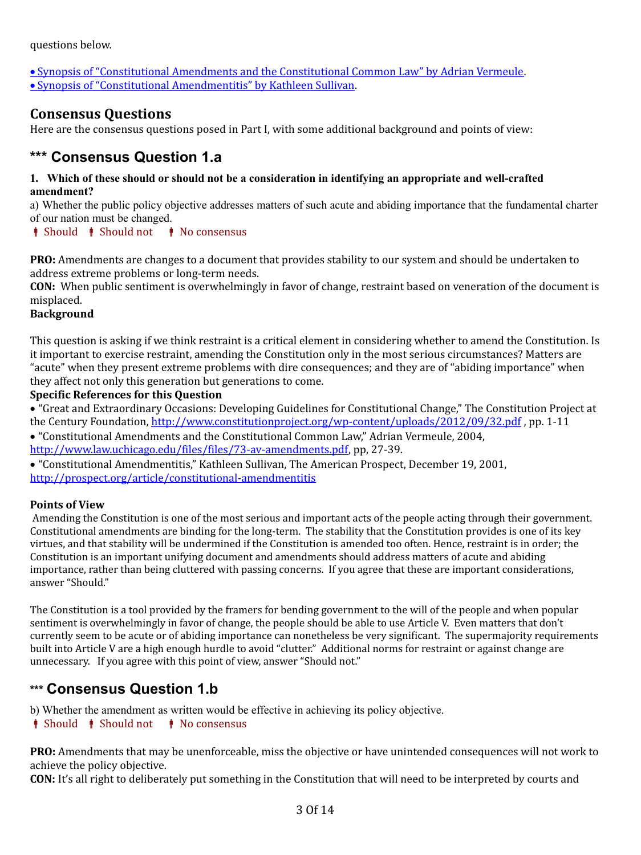questions below.

 [Synopsis of "Constitutional Amendments and the Constitutional Common Law" by Adrian Vermeule.](http://forum.lwv.org/member-resources/article/synopsis-%E2%80%9Cconstitutional-amendments-and-constitutional-common-law%E2%80%9D)  [Synopsis of "Constitutional Amendmentitis" by Kathleen Sullivan.](http://forum.lwv.org/member-resources/article/synopsis-%E2%80%9Cconstitutional-amendmentitis)

# **Consensus Questions**

Here are the consensus questions posed in Part I, with some additional background and points of view:

# <span id="page-2-1"></span>**\*\*\* Consensus Question 1.a**

### **1. Which of these should or should not be a consideration in identifying an appropriate and well-crafted amendment?**

a) Whether the public policy objective addresses matters of such acute and abiding importance that the fundamental charter of our nation must be changed.

## $\bullet$  Should  $\bullet$  Should not  $\bullet$  No consensus

**PRO:** Amendments are changes to a document that provides stability to our system and should be undertaken to address extreme problems or long-term needs.

**CON:** When public sentiment is overwhelmingly in favor of change, restraint based on veneration of the document is misplaced.

## **Background**

This question is asking if we think restraint is a critical element in considering whether to amend the Constitution. Is it important to exercise restraint, amending the Constitution only in the most serious circumstances? Matters are "acute" when they present extreme problems with dire consequences; and they are of "abiding importance" when they affect not only this generation but generations to come.

## **Specific References for this Question**

 "Great and Extraordinary Occasions: Developing Guidelines for Constitutional Change," The Constitution Project at the Century Foundation, http://www.constitutionproject.org/wp-content/uploads/2012/09/32.pdf, pp. 1-11

 "Constitutional Amendments and the Constitutional Common Law," Adrian Vermeule, 2004, [http://www.law.uchicago.edu/files/files/73-av-amendments.pdf,](http://www.law.uchicago.edu/files/files/73-av-amendments.pdf) pp, 27-39.

 "Constitutional Amendmentitis," Kathleen Sullivan, The American Prospect, December 19, 2001, <http://prospect.org/article/constitutional-amendmentitis>

## **Points of View**

Amending the Constitution is one of the most serious and important acts of the people acting through their government. Constitutional amendments are binding for the long-term. The stability that the Constitution provides is one of its key virtues, and that stability will be undermined if the Constitution is amended too often. Hence, restraint is in order; the Constitution is an important unifying document and amendments should address matters of acute and abiding importance, rather than being cluttered with passing concerns. If you agree that these are important considerations, answer "Should."

The Constitution is a tool provided by the framers for bending government to the will of the people and when popular sentiment is overwhelmingly in favor of change, the people should be able to use Article V. Even matters that don't currently seem to be acute or of abiding importance can nonetheless be very significant. The supermajority requirements built into Article V are a high enough hurdle to avoid "clutter." Additional norms for restraint or against change are unnecessary. If you agree with this point of view, answer "Should not."

# <span id="page-2-0"></span>**\*\*\* Consensus Question 1.b**

b) Whether the amendment as written would be effective in achieving its policy objective.

## $\parallel$  Should  $\parallel$  Should not  $\parallel$  No consensus

**PRO:** Amendments that may be unenforceable, miss the objective or have unintended consequences will not work to achieve the policy objective.

**CON:** It's all right to deliberately put something in the Constitution that will need to be interpreted by courts and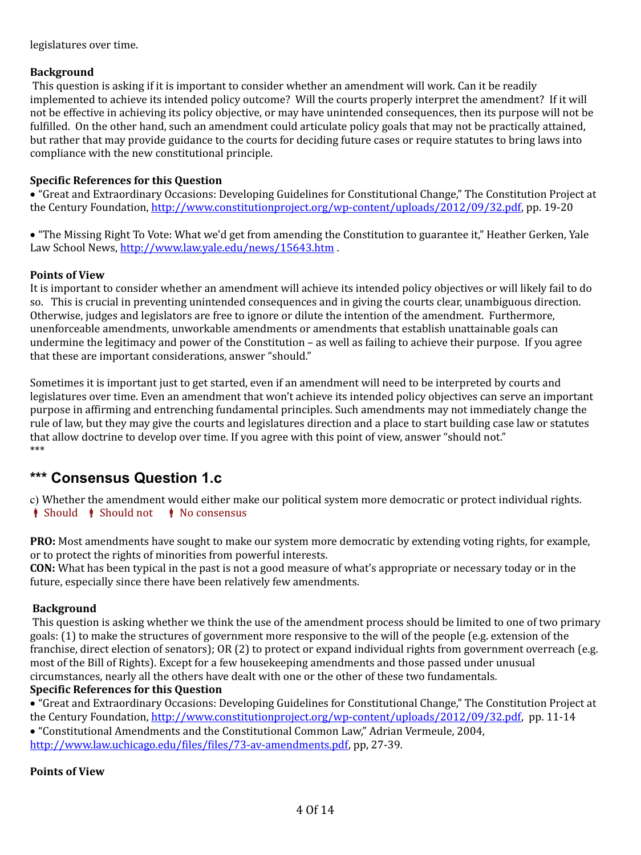legislatures over time.

## **Background**

 This question is asking if it is important to consider whether an amendment will work. Can it be readily implemented to achieve its intended policy outcome? Will the courts properly interpret the amendment? If it will not be effective in achieving its policy objective, or may have unintended consequences, then its purpose will not be fulfilled. On the other hand, such an amendment could articulate policy goals that may not be practically attained, but rather that may provide guidance to the courts for deciding future cases or require statutes to bring laws into compliance with the new constitutional principle.

## **Specific References for this Question**

 "Great and Extraordinary Occasions: Developing Guidelines for Constitutional Change," The Constitution Project at the Century Foundation, [http://www.constitutionproject.org/wp-content/uploads/2012/09/32.pdf,](http://www.constitutionproject.org/wp-content/uploads/2012/09/32.pdf) pp. 19-20

 "The Missing Right To Vote: What we'd get from amending the Constitution to guarantee it," Heather Gerken, Yale Law School News,<http://www.law.yale.edu/news/15643.htm>.

## **Points of View**

It is important to consider whether an amendment will achieve its intended policy objectives or will likely fail to do so. This is crucial in preventing unintended consequences and in giving the courts clear, unambiguous direction. Otherwise, judges and legislators are free to ignore or dilute the intention of the amendment. Furthermore, unenforceable amendments, unworkable amendments or amendments that establish unattainable goals can undermine the legitimacy and power of the Constitution – as well as failing to achieve their purpose. If you agree that these are important considerations, answer "should."

Sometimes it is important just to get started, even if an amendment will need to be interpreted by courts and legislatures over time. Even an amendment that won't achieve its intended policy objectives can serve an important purpose in affirming and entrenching fundamental principles. Such amendments may not immediately change the rule of law, but they may give the courts and legislatures direction and a place to start building case law or statutes that allow doctrine to develop over time. If you agree with this point of view, answer "should not." \*\*\*

# <span id="page-3-0"></span>**\*\*\* Consensus Question 1.c**

c) Whether the amendment would either make our political system more democratic or protect individual rights.  $\bullet$  Should  $\bullet$  Should not  $\bullet$  No consensus

**PRO:** Most amendments have sought to make our system more democratic by extending voting rights, for example, or to protect the rights of minorities from powerful interests.

**CON:** What has been typical in the past is not a good measure of what's appropriate or necessary today or in the future, especially since there have been relatively few amendments.

## **Background**

 This question is asking whether we think the use of the amendment process should be limited to one of two primary goals: (1) to make the structures of government more responsive to the will of the people (e.g. extension of the franchise, direct election of senators); OR (2) to protect or expand individual rights from government overreach (e.g. most of the Bill of Rights). Except for a few housekeeping amendments and those passed under unusual circumstances, nearly all the others have dealt with one or the other of these two fundamentals.

## **Specific References for this Question**

 "Great and Extraordinary Occasions: Developing Guidelines for Constitutional Change," The Constitution Project at the Century Foundation, [http://www.constitutionproject.org/wp-content/uploads/2012/09/32.pdf,](http://www.constitutionproject.org/wp-content/uploads/2012/09/32.pdf) pp. 11-14

"Constitutional Amendments and the Constitutional Common Law," Adrian Vermeule, 2004,

[http://www.law.uchicago.edu/files/files/73-av-amendments.pdf,](http://www.law.uchicago.edu/files/files/73-av-amendments.pdf) pp, 27-39.

## **Points of View**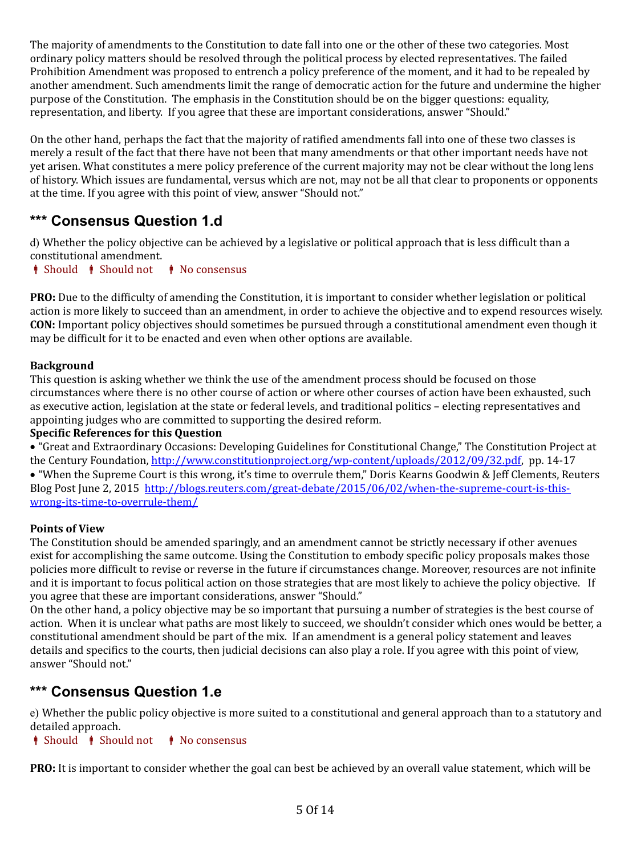The majority of amendments to the Constitution to date fall into one or the other of these two categories. Most ordinary policy matters should be resolved through the political process by elected representatives. The failed Prohibition Amendment was proposed to entrench a policy preference of the moment, and it had to be repealed by another amendment. Such amendments limit the range of democratic action for the future and undermine the higher purpose of the Constitution. The emphasis in the Constitution should be on the bigger questions: equality, representation, and liberty. If you agree that these are important considerations, answer "Should."

On the other hand, perhaps the fact that the majority of ratified amendments fall into one of these two classes is merely a result of the fact that there have not been that many amendments or that other important needs have not yet arisen. What constitutes a mere policy preference of the current majority may not be clear without the long lens of history. Which issues are fundamental, versus which are not, may not be all that clear to proponents or opponents at the time. If you agree with this point of view, answer "Should not."

# <span id="page-4-1"></span>**\*\*\* Consensus Question 1.d**

d) Whether the policy objective can be achieved by a legislative or political approach that is less difficult than a constitutional amendment.

*i* Should *i* Should not *i* No consensus

**PRO:** Due to the difficulty of amending the Constitution, it is important to consider whether legislation or political action is more likely to succeed than an amendment, in order to achieve the objective and to expend resources wisely. **CON:** Important policy objectives should sometimes be pursued through a constitutional amendment even though it may be difficult for it to be enacted and even when other options are available.

# **Background**

This question is asking whether we think the use of the amendment process should be focused on those circumstances where there is no other course of action or where other courses of action have been exhausted, such as executive action, legislation at the state or federal levels, and traditional politics – electing representatives and appointing judges who are committed to supporting the desired reform.

## **Specific References for this Question**

 "Great and Extraordinary Occasions: Developing Guidelines for Constitutional Change," The Constitution Project at the Century Foundation, [http://www.constitutionproject.org/wp-content/uploads/2012/09/32.pdf,](http://www.constitutionproject.org/wp-content/uploads/2012/09/32.pdf) pp. 14-17

 "When the Supreme Court is this wrong, it's time to overrule them," Doris Kearns Goodwin & Jeff Clements, Reuters Blog Post June 2, 2015 [http://blogs.reuters.com/great-debate/2015/06/02/when-the-supreme-court-is-this](http://blogs.reuters.com/great-debate/2015/06/02/when-the-supreme-court-is-this-wrong-its-time-to-overrule-them/)[wrong-its-time-to-overrule-them/](http://blogs.reuters.com/great-debate/2015/06/02/when-the-supreme-court-is-this-wrong-its-time-to-overrule-them/) 

# **Points of View**

The Constitution should be amended sparingly, and an amendment cannot be strictly necessary if other avenues exist for accomplishing the same outcome. Using the Constitution to embody specific policy proposals makes those policies more difficult to revise or reverse in the future if circumstances change. Moreover, resources are not infinite and it is important to focus political action on those strategies that are most likely to achieve the policy objective. If you agree that these are important considerations, answer "Should."

On the other hand, a policy objective may be so important that pursuing a number of strategies is the best course of action. When it is unclear what paths are most likely to succeed, we shouldn't consider which ones would be better, a constitutional amendment should be part of the mix. If an amendment is a general policy statement and leaves details and specifics to the courts, then judicial decisions can also play a role. If you agree with this point of view, answer "Should not."

# <span id="page-4-0"></span>**\*\*\* Consensus Question 1.e**

e) Whether the public policy objective is more suited to a constitutional and general approach than to a statutory and detailed approach.

*i* Should *i* Should not *i* No consensus

**PRO:** It is important to consider whether the goal can best be achieved by an overall value statement, which will be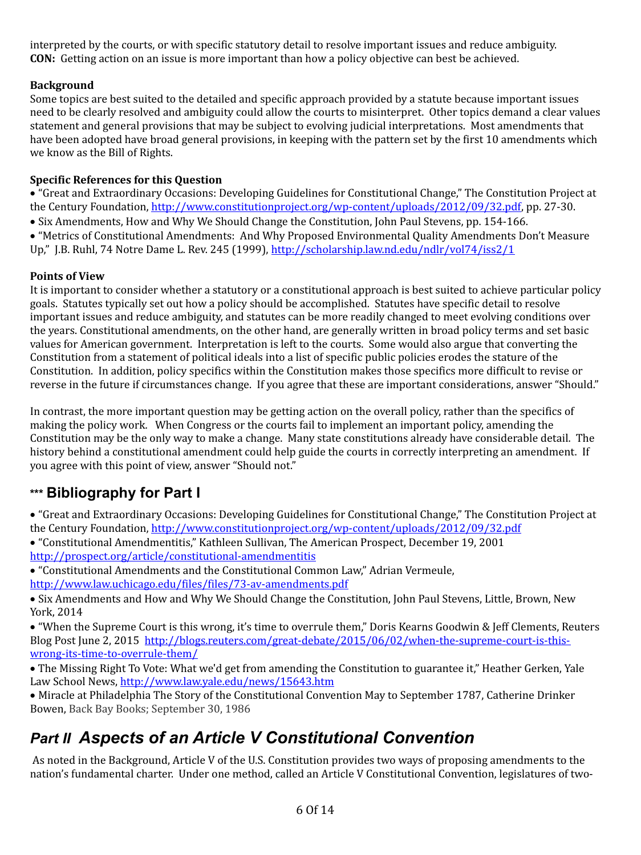interpreted by the courts, or with specific statutory detail to resolve important issues and reduce ambiguity. **CON:** Getting action on an issue is more important than how a policy objective can best be achieved.

# **Background**

Some topics are best suited to the detailed and specific approach provided by a statute because important issues need to be clearly resolved and ambiguity could allow the courts to misinterpret. Other topics demand a clear values statement and general provisions that may be subject to evolving judicial interpretations. Most amendments that have been adopted have broad general provisions, in keeping with the pattern set by the first 10 amendments which we know as the Bill of Rights.

# **Specific References for this Question**

 "Great and Extraordinary Occasions: Developing Guidelines for Constitutional Change," The Constitution Project at the Century Foundation, [http://www.constitutionproject.org/wp-content/uploads/2012/09/32.pdf,](http://www.constitutionproject.org/wp-content/uploads/2012/09/32.pdf) pp. 27-30.

• Six Amendments, How and Why We Should Change the Constitution, John Paul Stevens, pp. 154-166.

 "Metrics of Constitutional Amendments: And Why Proposed Environmental Quality Amendments Don't Measure Up," J.B. Ruhl, 74 Notre Dame L. Rev. 245 (1999),<http://scholarship.law.nd.edu/ndlr/vol74/iss2/1>

# **Points of View**

It is important to consider whether a statutory or a constitutional approach is best suited to achieve particular policy goals. Statutes typically set out how a policy should be accomplished. Statutes have specific detail to resolve important issues and reduce ambiguity, and statutes can be more readily changed to meet evolving conditions over the years. Constitutional amendments, on the other hand, are generally written in broad policy terms and set basic values for American government. Interpretation is left to the courts. Some would also argue that converting the Constitution from a statement of political ideals into a list of specific public policies erodes the stature of the Constitution. In addition, policy specifics within the Constitution makes those specifics more difficult to revise or reverse in the future if circumstances change. If you agree that these are important considerations, answer "Should."

In contrast, the more important question may be getting action on the overall policy, rather than the specifics of making the policy work. When Congress or the courts fail to implement an important policy, amending the Constitution may be the only way to make a change. Many state constitutions already have considerable detail. The history behind a constitutional amendment could help guide the courts in correctly interpreting an amendment. If you agree with this point of view, answer "Should not."

# <span id="page-5-1"></span>**\*\*\* Bibliography for Part I**

 "Great and Extraordinary Occasions: Developing Guidelines for Constitutional Change," The Constitution Project at the Century Foundation, http://www.constitutionproject.org/wp-content/uploads/2012/09/32.pdf

- "Constitutional Amendmentitis," Kathleen Sullivan, The American Prospect, December 19, 2001 <http://prospect.org/article/constitutional-amendmentitis>
- "Constitutional Amendments and the Constitutional Common Law," Adrian Vermeule,
- <http://www.law.uchicago.edu/files/files/73-av-amendments.pdf>

• Six Amendments and How and Why We Should Change the Constitution, John Paul Stevens, Little, Brown, New York, 2014

 "When the Supreme Court is this wrong, it's time to overrule them," Doris Kearns Goodwin & Jeff Clements, Reuters Blog Post June 2, 2015 [http://blogs.reuters.com/great-debate/2015/06/02/when-the-supreme-court-is-this](http://blogs.reuters.com/great-debate/2015/06/02/when-the-supreme-court-is-this-wrong-its-time-to-overrule-them/)[wrong-its-time-to-overrule-them/](http://blogs.reuters.com/great-debate/2015/06/02/when-the-supreme-court-is-this-wrong-its-time-to-overrule-them/) 

 The Missing Right To Vote: What we'd get from amending the Constitution to guarantee it," Heather Gerken, Yale Law School News,<http://www.law.yale.edu/news/15643.htm>

 Miracle at Philadelphia The Story of the Constitutional Convention May to September 1787, Catherine Drinker Bowen, Back Bay Books; September 30, 1986

# <span id="page-5-0"></span>*Part II Aspects of an Article V Constitutional Convention*

As noted in the Background, Article V of the U.S. Constitution provides two ways of proposing amendments to the nation's fundamental charter. Under one method, called an Article V Constitutional Convention, legislatures of two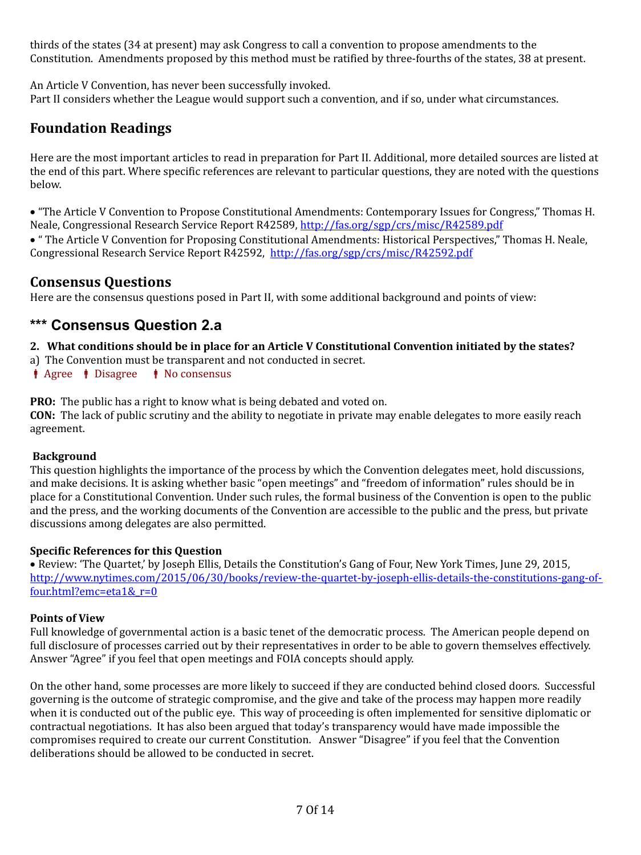thirds of the states (34 at present) may ask Congress to call a convention to propose amendments to the Constitution. Amendments proposed by this method must be ratified by three-fourths of the states, 38 at present.

An Article V Convention, has never been successfully invoked. Part II considers whether the League would support such a convention, and if so, under what circumstances.

# **Foundation Readings**

Here are the most important articles to read in preparation for Part II. Additional, more detailed sources are listed at the end of this part. Where specific references are relevant to particular questions, they are noted with the questions below.

 "The Article V Convention to Propose Constitutional Amendments: Contemporary Issues for Congress," Thomas H. Neale, Congressional Research Service Report R42589, http://fas.org/sgp/crs/misc/R42589.pdf

 " The Article V Convention for Proposing Constitutional Amendments: Historical Perspectives," Thomas H. Neale, Congressional Research Service Report R42592, <http://fas.org/sgp/crs/misc/R42592.pdf>

# **Consensus Questions**

Here are the consensus questions posed in Part II, with some additional background and points of view:

# <span id="page-6-0"></span>**\*\*\* Consensus Question 2.a**

- **2. What conditions should be in place for an Article V Constitutional Convention initiated by the states?**
- a) The Convention must be transparent and not conducted in secret.
- $\parallel$  Agree  $\parallel$  Disagree  $\parallel$  No consensus

**PRO:** The public has a right to know what is being debated and voted on.

**CON:** The lack of public scrutiny and the ability to negotiate in private may enable delegates to more easily reach agreement.

## **Background**

This question highlights the importance of the process by which the Convention delegates meet, hold discussions, and make decisions. It is asking whether basic "open meetings" and "freedom of information" rules should be in place for a Constitutional Convention. Under such rules, the formal business of the Convention is open to the public and the press, and the working documents of the Convention are accessible to the public and the press, but private discussions among delegates are also permitted.

## **Specific References for this Question**

• Review: 'The Quartet,' by Joseph Ellis, Details the Constitution's Gang of Four, New York Times, June 29, 2015, [http://www.nytimes.com/2015/06/30/books/review-the-quartet-by-joseph-ellis-details-the-constitutions-gang-of](http://www.nytimes.com/2015/06/30/books/review-the-quartet-by-joseph-ellis-details-the-constitutions-gang-of-four.html?emc=eta1&_r=0)[four.html?emc=eta1&\\_r=0](http://www.nytimes.com/2015/06/30/books/review-the-quartet-by-joseph-ellis-details-the-constitutions-gang-of-four.html?emc=eta1&_r=0)

## **Points of View**

Full knowledge of governmental action is a basic tenet of the democratic process. The American people depend on full disclosure of processes carried out by their representatives in order to be able to govern themselves effectively. Answer "Agree" if you feel that open meetings and FOIA concepts should apply.

On the other hand, some processes are more likely to succeed if they are conducted behind closed doors. Successful governing is the outcome of strategic compromise, and the give and take of the process may happen more readily when it is conducted out of the public eye. This way of proceeding is often implemented for sensitive diplomatic or contractual negotiations. It has also been argued that today's transparency would have made impossible the compromises required to create our current Constitution. Answer "Disagree" if you feel that the Convention deliberations should be allowed to be conducted in secret.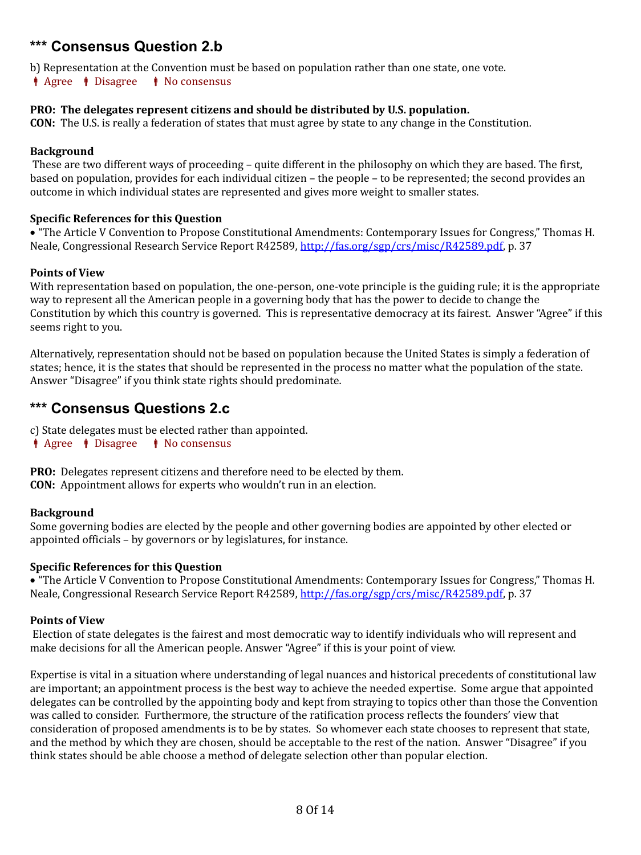# <span id="page-7-1"></span>**\*\*\* Consensus Question 2.b**

b) Representation at the Convention must be based on population rather than one state, one vote.  $\parallel$  Agree  $\parallel$  Disagree  $\parallel$  No consensus

#### **PRO: The delegates represent citizens and should be distributed by U.S. population.**

**CON:** The U.S. is really a federation of states that must agree by state to any change in the Constitution.

#### **Background**

 These are two different ways of proceeding – quite different in the philosophy on which they are based. The first, based on population, provides for each individual citizen – the people – to be represented; the second provides an outcome in which individual states are represented and gives more weight to smaller states.

#### **Specific References for this Question**

 "The Article V Convention to Propose Constitutional Amendments: Contemporary Issues for Congress," Thomas H. Neale, Congressional Research Service Report R42589, [http://fas.org/sgp/crs/misc/R42589.pdf,](http://fas.org/sgp/crs/misc/R42589.pdf) p. 37

#### **Points of View**

With representation based on population, the one-person, one-vote principle is the guiding rule; it is the appropriate way to represent all the American people in a governing body that has the power to decide to change the Constitution by which this country is governed. This is representative democracy at its fairest. Answer "Agree" if this seems right to you.

Alternatively, representation should not be based on population because the United States is simply a federation of states; hence, it is the states that should be represented in the process no matter what the population of the state. Answer "Disagree" if you think state rights should predominate.

# <span id="page-7-0"></span>**\*\*\* Consensus Questions 2.c**

c) State delegates must be elected rather than appointed.

 $\parallel$  Agree  $\parallel$  Disagree  $\parallel$  No consensus

**PRO:** Delegates represent citizens and therefore need to be elected by them. **CON:** Appointment allows for experts who wouldn't run in an election.

#### **Background**

Some governing bodies are elected by the people and other governing bodies are appointed by other elected or appointed officials – by governors or by legislatures, for instance.

#### **Specific References for this Question**

 "The Article V Convention to Propose Constitutional Amendments: Contemporary Issues for Congress," Thomas H. Neale, Congressional Research Service Report R42589, [http://fas.org/sgp/crs/misc/R42589.pdf,](http://fas.org/sgp/crs/misc/R42589.pdf) p. 37

#### **Points of View**

Election of state delegates is the fairest and most democratic way to identify individuals who will represent and make decisions for all the American people. Answer "Agree" if this is your point of view.

Expertise is vital in a situation where understanding of legal nuances and historical precedents of constitutional law are important; an appointment process is the best way to achieve the needed expertise. Some argue that appointed delegates can be controlled by the appointing body and kept from straying to topics other than those the Convention was called to consider. Furthermore, the structure of the ratification process reflects the founders' view that consideration of proposed amendments is to be by states. So whomever each state chooses to represent that state, and the method by which they are chosen, should be acceptable to the rest of the nation. Answer "Disagree" if you think states should be able choose a method of delegate selection other than popular election.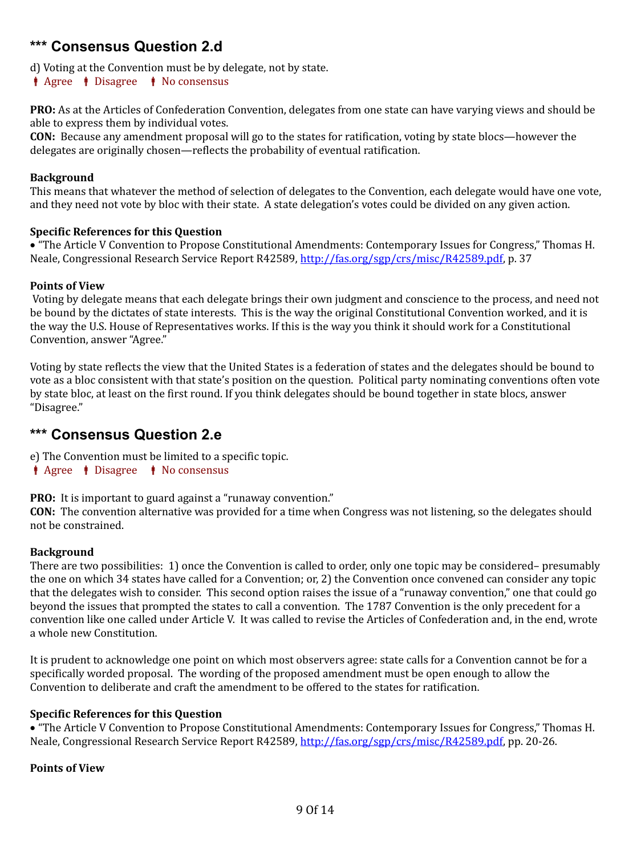# <span id="page-8-1"></span>**\*\*\* Consensus Question 2.d**

d) Voting at the Convention must be by delegate, not by state.

 $\parallel$  Agree  $\parallel$  Disagree  $\parallel$  No consensus

**PRO:** As at the Articles of Confederation Convention, delegates from one state can have varying views and should be able to express them by individual votes.

**CON:** Because any amendment proposal will go to the states for ratification, voting by state blocs—however the delegates are originally chosen—reflects the probability of eventual ratification.

#### **Background**

This means that whatever the method of selection of delegates to the Convention, each delegate would have one vote, and they need not vote by bloc with their state. A state delegation's votes could be divided on any given action.

#### **Specific References for this Question**

 "The Article V Convention to Propose Constitutional Amendments: Contemporary Issues for Congress," Thomas H. Neale, Congressional Research Service Report R42589, [http://fas.org/sgp/crs/misc/R42589.pdf,](http://fas.org/sgp/crs/misc/R42589.pdf) p. 37

#### **Points of View**

Voting by delegate means that each delegate brings their own judgment and conscience to the process, and need not be bound by the dictates of state interests. This is the way the original Constitutional Convention worked, and it is the way the U.S. House of Representatives works. If this is the way you think it should work for a Constitutional Convention, answer "Agree."

Voting by state reflects the view that the United States is a federation of states and the delegates should be bound to vote as a bloc consistent with that state's position on the question. Political party nominating conventions often vote by state bloc, at least on the first round. If you think delegates should be bound together in state blocs, answer "Disagree."

# <span id="page-8-0"></span>**\*\*\* Consensus Question 2.e**

e) The Convention must be limited to a specific topic.

 $\parallel$  Agree  $\parallel$  Disagree  $\parallel$  No consensus

**PRO:** It is important to guard against a "runaway convention."

**CON:** The convention alternative was provided for a time when Congress was not listening, so the delegates should not be constrained.

## **Background**

There are two possibilities: 1) once the Convention is called to order, only one topic may be considered– presumably the one on which 34 states have called for a Convention; or, 2) the Convention once convened can consider any topic that the delegates wish to consider. This second option raises the issue of a "runaway convention," one that could go beyond the issues that prompted the states to call a convention. The 1787 Convention is the only precedent for a convention like one called under Article V. It was called to revise the Articles of Confederation and, in the end, wrote a whole new Constitution.

It is prudent to acknowledge one point on which most observers agree: state calls for a Convention cannot be for a specifically worded proposal. The wording of the proposed amendment must be open enough to allow the Convention to deliberate and craft the amendment to be offered to the states for ratification.

#### **Specific References for this Question**

 "The Article V Convention to Propose Constitutional Amendments: Contemporary Issues for Congress," Thomas H. Neale, Congressional Research Service Report R42589, [http://fas.org/sgp/crs/misc/R42589.pdf,](http://fas.org/sgp/crs/misc/R42589.pdf) pp. 20-26.

#### **Points of View**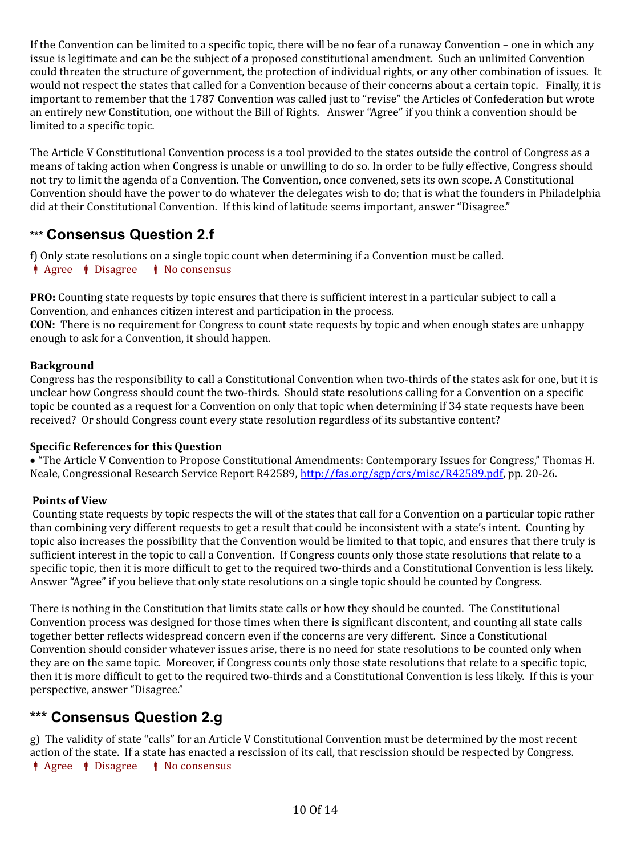If the Convention can be limited to a specific topic, there will be no fear of a runaway Convention – one in which any issue is legitimate and can be the subject of a proposed constitutional amendment. Such an unlimited Convention could threaten the structure of government, the protection of individual rights, or any other combination of issues. It would not respect the states that called for a Convention because of their concerns about a certain topic. Finally, it is important to remember that the 1787 Convention was called just to "revise" the Articles of Confederation but wrote an entirely new Constitution, one without the Bill of Rights. Answer "Agree" if you think a convention should be limited to a specific topic.

The Article V Constitutional Convention process is a tool provided to the states outside the control of Congress as a means of taking action when Congress is unable or unwilling to do so. In order to be fully effective, Congress should not try to limit the agenda of a Convention. The Convention, once convened, sets its own scope. A Constitutional Convention should have the power to do whatever the delegates wish to do; that is what the founders in Philadelphia did at their Constitutional Convention. If this kind of latitude seems important, answer "Disagree."

# <span id="page-9-1"></span>**\*\*\* Consensus Question 2.f**

f) Only state resolutions on a single topic count when determining if a Convention must be called.

 $\dot{\mathbf{i}}$  Agree  $\dot{\mathbf{i}}$  Disagree  $\dot{\mathbf{i}}$  No consensus

**PRO:** Counting state requests by topic ensures that there is sufficient interest in a particular subject to call a Convention, and enhances citizen interest and participation in the process.

**CON:** There is no requirement for Congress to count state requests by topic and when enough states are unhappy enough to ask for a Convention, it should happen.

## **Background**

Congress has the responsibility to call a Constitutional Convention when two-thirds of the states ask for one, but it is unclear how Congress should count the two-thirds. Should state resolutions calling for a Convention on a specific topic be counted as a request for a Convention on only that topic when determining if 34 state requests have been received? Or should Congress count every state resolution regardless of its substantive content?

## **Specific References for this Question**

 "The Article V Convention to Propose Constitutional Amendments: Contemporary Issues for Congress," Thomas H. Neale, Congressional Research Service Report R42589, [http://fas.org/sgp/crs/misc/R42589.pdf,](http://fas.org/sgp/crs/misc/R42589.pdf) pp. 20-26.

## **Points of View**

 Counting state requests by topic respects the will of the states that call for a Convention on a particular topic rather than combining very different requests to get a result that could be inconsistent with a state's intent. Counting by topic also increases the possibility that the Convention would be limited to that topic, and ensures that there truly is sufficient interest in the topic to call a Convention. If Congress counts only those state resolutions that relate to a specific topic, then it is more difficult to get to the required two-thirds and a Constitutional Convention is less likely. Answer "Agree" if you believe that only state resolutions on a single topic should be counted by Congress.

There is nothing in the Constitution that limits state calls or how they should be counted. The Constitutional Convention process was designed for those times when there is significant discontent, and counting all state calls together better reflects widespread concern even if the concerns are very different. Since a Constitutional Convention should consider whatever issues arise, there is no need for state resolutions to be counted only when they are on the same topic. Moreover, if Congress counts only those state resolutions that relate to a specific topic, then it is more difficult to get to the required two-thirds and a Constitutional Convention is less likely. If this is your perspective, answer "Disagree."

# <span id="page-9-0"></span>**\*\*\* Consensus Question 2.g**

g) The validity of state "calls" for an Article V Constitutional Convention must be determined by the most recent action of the state. If a state has enacted a rescission of its call, that rescission should be respected by Congress.  $\parallel$  Agree  $\parallel$  Disagree  $\parallel$  No consensus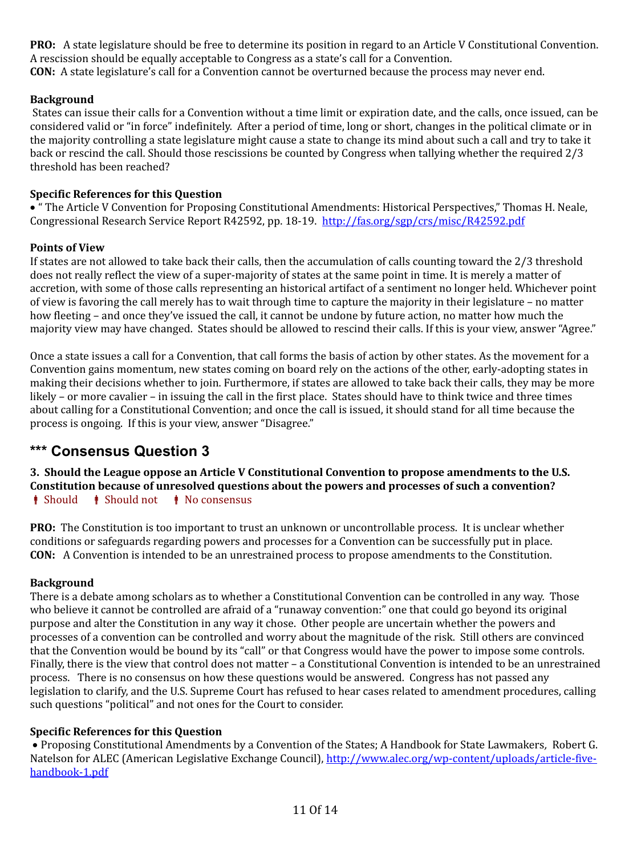**PRO:** A state legislature should be free to determine its position in regard to an Article V Constitutional Convention. A rescission should be equally acceptable to Congress as a state's call for a Convention. **CON:** A state legislature's call for a Convention cannot be overturned because the process may never end.

## **Background**

States can issue their calls for a Convention without a time limit or expiration date, and the calls, once issued, can be considered valid or "in force" indefinitely. After a period of time, long or short, changes in the political climate or in the majority controlling a state legislature might cause a state to change its mind about such a call and try to take it back or rescind the call. Should those rescissions be counted by Congress when tallying whether the required 2/3 threshold has been reached?

## **Specific References for this Question**

 " The Article V Convention for Proposing Constitutional Amendments: Historical Perspectives," Thomas H. Neale, Congressional Research Service Report R42592, pp. 18-19. <http://fas.org/sgp/crs/misc/R42592.pdf>

## **Points of View**

If states are not allowed to take back their calls, then the accumulation of calls counting toward the 2/3 threshold does not really reflect the view of a super-majority of states at the same point in time. It is merely a matter of accretion, with some of those calls representing an historical artifact of a sentiment no longer held. Whichever point of view is favoring the call merely has to wait through time to capture the majority in their legislature – no matter how fleeting – and once they've issued the call, it cannot be undone by future action, no matter how much the majority view may have changed. States should be allowed to rescind their calls. If this is your view, answer "Agree."

Once a state issues a call for a Convention, that call forms the basis of action by other states. As the movement for a Convention gains momentum, new states coming on board rely on the actions of the other, early-adopting states in making their decisions whether to join. Furthermore, if states are allowed to take back their calls, they may be more likely – or more cavalier – in issuing the call in the first place. States should have to think twice and three times about calling for a Constitutional Convention; and once the call is issued, it should stand for all time because the process is ongoing. If this is your view, answer "Disagree."

# <span id="page-10-0"></span>**\*\*\* Consensus Question 3**

**3. Should the League oppose an Article V Constitutional Convention to propose amendments to the U.S. Constitution because of unresolved questions about the powers and processes of such a convention?**  $\parallel$  Should  $\parallel$  Should not  $\parallel$  No consensus

**PRO:** The Constitution is too important to trust an unknown or uncontrollable process. It is unclear whether conditions or safeguards regarding powers and processes for a Convention can be successfully put in place. **CON:** A Convention is intended to be an unrestrained process to propose amendments to the Constitution.

## **Background**

There is a debate among scholars as to whether a Constitutional Convention can be controlled in any way. Those who believe it cannot be controlled are afraid of a "runaway convention:" one that could go beyond its original purpose and alter the Constitution in any way it chose. Other people are uncertain whether the powers and processes of a convention can be controlled and worry about the magnitude of the risk. Still others are convinced that the Convention would be bound by its "call" or that Congress would have the power to impose some controls. Finally, there is the view that control does not matter – a Constitutional Convention is intended to be an unrestrained process. There is no consensus on how these questions would be answered. Congress has not passed any legislation to clarify, and the U.S. Supreme Court has refused to hear cases related to amendment procedures, calling such questions "political" and not ones for the Court to consider.

## **Specific References for this Question**

 Proposing Constitutional Amendments by a Convention of the States; A Handbook for State Lawmakers*,* Robert G. Natelson for ALEC (American Legislative Exchange Council), [http://www.alec.org/wp-content/uploads/article-five](http://www.alec.org/wp-content/uploads/article-five-handbook-1.pdf)[handbook-1.pdf](http://www.alec.org/wp-content/uploads/article-five-handbook-1.pdf)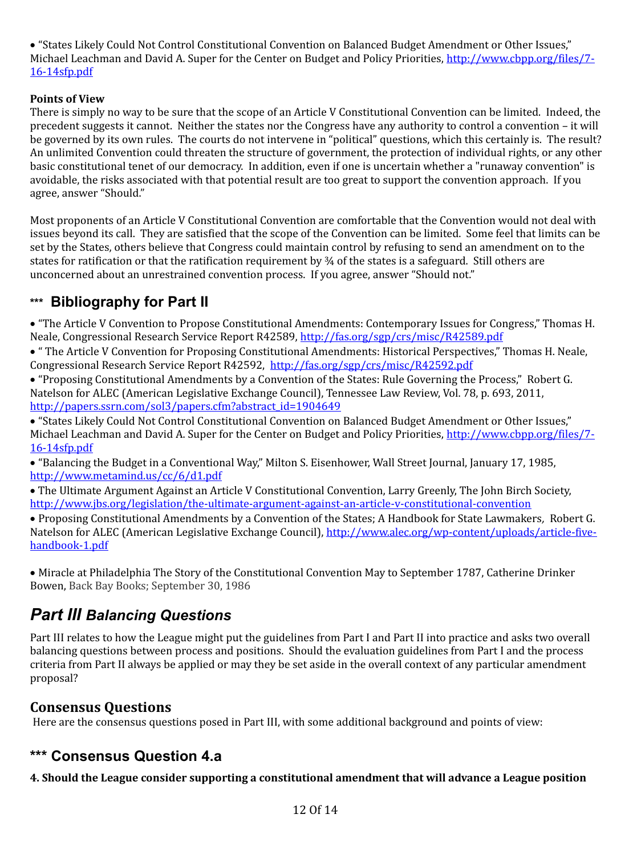"States Likely Could Not Control Constitutional Convention on Balanced Budget Amendment or Other Issues," Michael Leachman and David A. Super for the Center on Budget and Policy Priorities, [http://www.cbpp.org/files/7-](http://www.cbpp.org/files/7-16-14sfp.pdf) [16-14sfp.pdf](http://www.cbpp.org/files/7-16-14sfp.pdf)

# **Points of View**

There is simply no way to be sure that the scope of an Article V Constitutional Convention can be limited. Indeed, the precedent suggests it cannot. Neither the states nor the Congress have any authority to control a convention – it will be governed by its own rules. The courts do not intervene in "political" questions, which this certainly is. The result? An unlimited Convention could threaten the structure of government, the protection of individual rights, or any other basic constitutional tenet of our democracy. In addition, even if one is uncertain whether a "runaway convention" is avoidable, the risks associated with that potential result are too great to support the convention approach. If you agree, answer "Should."

Most proponents of an Article V Constitutional Convention are comfortable that the Convention would not deal with issues beyond its call. They are satisfied that the scope of the Convention can be limited. Some feel that limits can be set by the States, others believe that Congress could maintain control by refusing to send an amendment on to the states for ratification or that the ratification requirement by ¾ of the states is a safeguard. Still others are unconcerned about an unrestrained convention process. If you agree, answer "Should not."

# <span id="page-11-2"></span>**\*\*\* Bibliography for Part II**

 "The Article V Convention to Propose Constitutional Amendments: Contemporary Issues for Congress," Thomas H. Neale, Congressional Research Service Report R42589, http://fas.org/sgp/crs/misc/R42589.pdf

 " The Article V Convention for Proposing Constitutional Amendments: Historical Perspectives," Thomas H. Neale, Congressional Research Service Report R42592, <http://fas.org/sgp/crs/misc/R42592.pdf>

 "Proposing Constitutional Amendments by a Convention of the States: Rule Governing the Process," Robert G. Natelson for ALEC (American Legislative Exchange Council), Tennessee Law Review, Vol. 78, p. 693, 2011, http://papers.ssrn.com/sol3/papers.cfm?abstract\_id=1904649

 "States Likely Could Not Control Constitutional Convention on Balanced Budget Amendment or Other Issues," Michael Leachman and David A. Super for the Center on Budget and Policy Priorities, [http://www.cbpp.org/files/7-](http://www.cbpp.org/files/7-16-14sfp.pdf) [16-14sfp.pdf](http://www.cbpp.org/files/7-16-14sfp.pdf)

 "Balancing the Budget in a Conventional Way," Milton S. Eisenhower, Wall Street Journal, January 17, 1985, <http://www.metamind.us/cc/6/d1.pdf>

 The Ultimate Argument Against an Article V Constitutional Convention, Larry Greenly, The John Birch Society, <http://www.jbs.org/legislation/the-ultimate-argument-against-an-article-v-constitutional-convention>

 Proposing Constitutional Amendments by a Convention of the States; A Handbook for State Lawmakers*,* Robert G. Natelson for ALEC (American Legislative Exchange Council), [http://www.alec.org/wp-content/uploads/article-five](http://www.alec.org/wp-content/uploads/article-five-handbook-1.pdf)[handbook-1.pdf](http://www.alec.org/wp-content/uploads/article-five-handbook-1.pdf) 

 Miracle at Philadelphia The Story of the Constitutional Convention May to September 1787, Catherine Drinker Bowen, Back Bay Books; September 30, 1986

# <span id="page-11-1"></span>*Part III Balancing Questions*

Part III relates to how the League might put the guidelines from Part I and Part II into practice and asks two overall balancing questions between process and positions. Should the evaluation guidelines from Part I and the process criteria from Part II always be applied or may they be set aside in the overall context of any particular amendment proposal?

# **Consensus Questions**

Here are the consensus questions posed in Part III, with some additional background and points of view:

# <span id="page-11-0"></span>**\*\*\* Consensus Question 4.a**

**4. Should the League consider supporting a constitutional amendment that will advance a League position**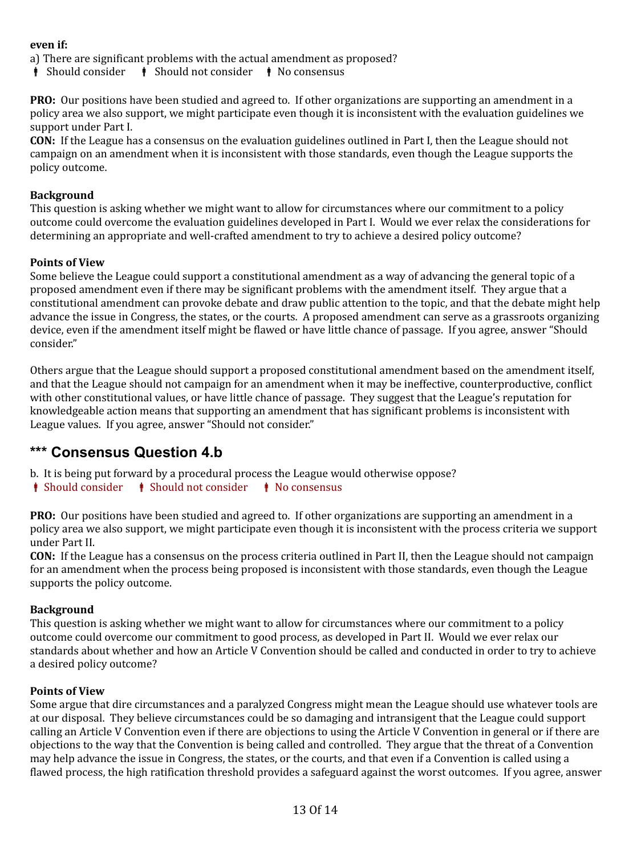## **even if:**

a) There are significant problems with the actual amendment as proposed?

 $\phi$  Should consider  $\phi$  Should not consider  $\phi$  No consensus

**PRO:** Our positions have been studied and agreed to. If other organizations are supporting an amendment in a policy area we also support, we might participate even though it is inconsistent with the evaluation guidelines we support under Part I.

**CON:** If the League has a consensus on the evaluation guidelines outlined in Part I, then the League should not campaign on an amendment when it is inconsistent with those standards, even though the League supports the policy outcome.

## **Background**

This question is asking whether we might want to allow for circumstances where our commitment to a policy outcome could overcome the evaluation guidelines developed in Part I. Would we ever relax the considerations for determining an appropriate and well-crafted amendment to try to achieve a desired policy outcome?

## **Points of View**

Some believe the League could support a constitutional amendment as a way of advancing the general topic of a proposed amendment even if there may be significant problems with the amendment itself. They argue that a constitutional amendment can provoke debate and draw public attention to the topic, and that the debate might help advance the issue in Congress, the states, or the courts. A proposed amendment can serve as a grassroots organizing device, even if the amendment itself might be flawed or have little chance of passage. If you agree, answer "Should consider."

Others argue that the League should support a proposed constitutional amendment based on the amendment itself, and that the League should not campaign for an amendment when it may be ineffective, counterproductive, conflict with other constitutional values, or have little chance of passage. They suggest that the League's reputation for knowledgeable action means that supporting an amendment that has significant problems is inconsistent with League values. If you agree, answer "Should not consider."

# <span id="page-12-0"></span>**\*\*\* Consensus Question 4.b**

b. It is being put forward by a procedural process the League would otherwise oppose?

 $\parallel$  Should consider  $\parallel$  Should not consider  $\parallel$  No consensus

**PRO:** Our positions have been studied and agreed to. If other organizations are supporting an amendment in a policy area we also support, we might participate even though it is inconsistent with the process criteria we support under Part II.

**CON:** If the League has a consensus on the process criteria outlined in Part II, then the League should not campaign for an amendment when the process being proposed is inconsistent with those standards, even though the League supports the policy outcome.

## **Background**

This question is asking whether we might want to allow for circumstances where our commitment to a policy outcome could overcome our commitment to good process, as developed in Part II. Would we ever relax our standards about whether and how an Article V Convention should be called and conducted in order to try to achieve a desired policy outcome?

## **Points of View**

Some argue that dire circumstances and a paralyzed Congress might mean the League should use whatever tools are at our disposal. They believe circumstances could be so damaging and intransigent that the League could support calling an Article V Convention even if there are objections to using the Article V Convention in general or if there are objections to the way that the Convention is being called and controlled. They argue that the threat of a Convention may help advance the issue in Congress, the states, or the courts, and that even if a Convention is called using a flawed process, the high ratification threshold provides a safeguard against the worst outcomes. If you agree, answer